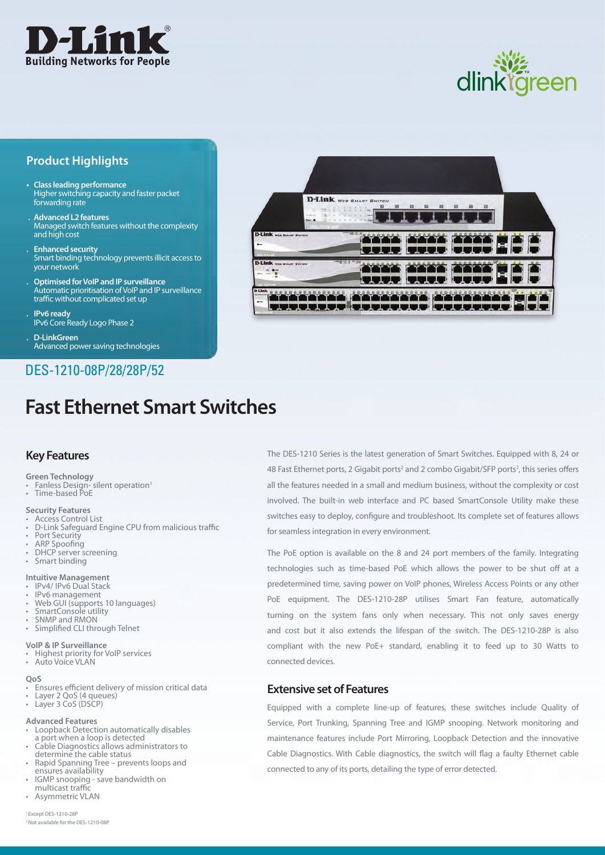

# dlinkläreen

## **Product Highlights**

- **• Class leading performance** Higher switching capacity and faster packet forwarding rate
- **. Advanced L2 features** Managed switch features without the complexity and high cost
- **. Enhanced security** Smart binding technology prevents illicit access to your network
- **. Optimised forVoIP and IP surveillance** Automatic prioritisation of VoIP and IP surveillance traffic without complicated set up

**. IPv6 ready** IPv6 Core Ready Logo Phase 2

**. D-LinkGreen** Advanced power saving technologies

# DES-1210-08P/28/28P/52

# **Fast Ethernet Smart Switches**

## **Key Features**

**Green Technology**

Fanless Design- silent operation<sup>1</sup> Famess Besign

**Security Features**

- Access Control List
- **D-Link Safeguard Engine CPU from malicious traffic**
- Port Security
- ARP Spoofing
- DHCP server screening • Smart binding
- 

### **Intuitive Management**

- IPv4/ IPv6 Dual Stack<br>IPv6 management
- Web GUI (supports 10 languages)
- • SmartConsole utility
- SNMP and RMON
- • Simplified CLI through Telnet

#### **VoIP & IP Surveillance**

- • Highest priority for VoIP services
- Auto Voice VLAN

#### **QoS**

- Ensures efficient delivery of mission critical data
- • Layer 2 QoS (4 queues)
- • Layer 3 CoS (DSCP)

#### **Advanced Features**

- Loopback Detection automatically disables a port when a loop is detected
- Cable Diagnostics allows administrators to<br>determine the cable status
- Rapid Spanning Tree prevents loops and<br>ensures availability
- ensure Shooping save bandwidth on<br>Production should be multicast traffic<br>• Asymmetric VLAN
- 



The DES-1210 Series is the latest generation of Smart Switches. Equipped with 8, 24 or 48 Fast Ethernet ports, 2 Gigabit ports<sup>2</sup> and 2 combo Gigabit/SFP ports<sup>2</sup>, this series offers all the features needed in a small and medium business, without the complexity or cost involved. The built-in web interface and PC based SmartConsole Utility make these switches easy to deploy, configure and troubleshoot. Its complete set of features allows for seamless integration in every environment.

The PoE option is available on the 8 and 24 port members of the family. Integrating technologies such as time-based PoE which allows the power to be shut off at a predetermined time, saving power on VoIP phones, Wireless Access Points or any other PoE equipment. The DES-1210-28P utilises Smart Fan feature, automatically turning on the system fans only when necessary. This not only saves energy and cost but it also extends the lifespan of the switch. The DES-1210-28P is also compliant with the new PoE+ standard, enabling it to feed up to 30 Watts to connected devices.

## **Extensive set of Features**

Equipped with a complete line-up of features, these switches include Quality of Service, Port Trunking, Spanning Tree and IGMP snooping. Network monitoring and maintenance features include Port Mirroring, Loopback Detection and the innovative Cable Diagnostics. With Cable diagnostics, the switch will flag a faulty Ethernet cable connected to any of its ports, detailing the type of error detected.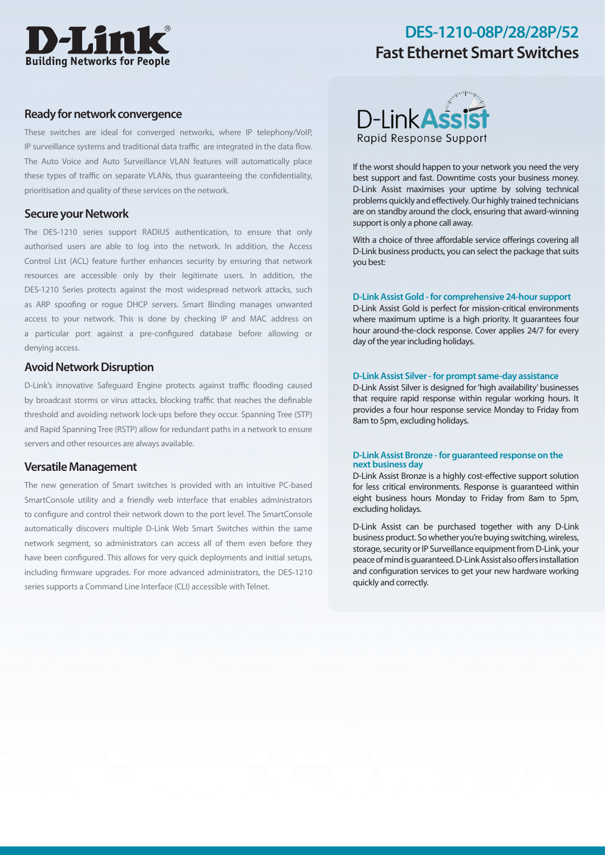

#### **Ready fornetwork convergence**

These switches are ideal for converged networks, where IP telephony/VoIP, IP surveillance systems and traditional data traffic are integrated in the data flow. The Auto Voice and Auto Surveillance VLAN features will automatically place these types of traffic on separate VLANs, thus guaranteeing the confidentiality, prioritisation and quality of these services on the network.

#### **Secure your Network**

The DES-1210 series support RADIUS authentication, to ensure that only authorised users are able to log into the network. In addition, the Access Control List (ACL) feature further enhances security by ensuring that network resources are accessible only by their legitimate users. In addition, the DES-1210 Series protects against the most widespread network attacks, such as ARP spoofing or rogue DHCP servers. Smart Binding manages unwanted access to your network. This is done by checking IP and MAC address on a particular port against a pre-configured database before allowing or denying access.

#### **Avoid Network Disruption**

D-Link's innovative Safeguard Engine protects against traffic flooding caused by broadcast storms or virus attacks, blocking traffic that reaches the definable threshold and avoiding network lock-ups before they occur. Spanning Tree (STP) and Rapid Spanning Tree (RSTP) allow for redundant paths in a network to ensure servers and other resources are always available.

#### **VersatileManagement**

The new generation of Smart switches is provided with an intuitive PC-based SmartConsole utility and a friendly web interface that enables administrators to configure and control their network down to the port level. The SmartConsole automatically discovers multiple D-Link Web Smart Switches within the same network segment, so administrators can access all of them even before they have been configured. This allows for very quick deployments and initial setups, including firmware upgrades. For more advanced administrators, the DES-1210 series supports a Command Line Interface (CLI) accessible with Telnet.



If the worst should happen to your network you need the very best support and fast. Downtime costs your business money. D-Link Assist maximises your uptime by solving technical problems quickly and effectively.Our highly trained technicians are on standby around the clock, ensuring that award-winning support is only a phone call away.

With a choice of three affordable service offerings covering all D-Link business products, you can select the package that suits you best:

#### **D-LinkAssistGold -for comprehensive 24-hour support**

D-Link Assist Gold is perfect for mission-critical environments where maximum uptime is a high priority. It guarantees four hour around-the-clock response. Cover applies 24/7 for every day of the year including holidays.

#### **D-LinkAssist Silver-for prompt same-day assistance**

D-Link Assist Silver is designed for'high availability' businesses that require rapid response within regular working hours. It provides a four hour response service Monday to Friday from 8am to 5pm, excluding holidays.

#### **D-LinkAssist Bronze -for guaranteed response on the next business day**

D-Link Assist Bronze is a highly cost-effective support solution for less critical environments. Response is guaranteed within eight business hours Monday to Friday from 8am to 5pm, excluding holidays.

D-Link Assist can be purchased together with any D-Link business product. So whether you're buying switching, wireless, storage, security or IP Surveillance equipment from D-Link, your peace of mind is guaranteed. D-Link Assist also offers installation and configuration services to get your new hardware working quickly and correctly.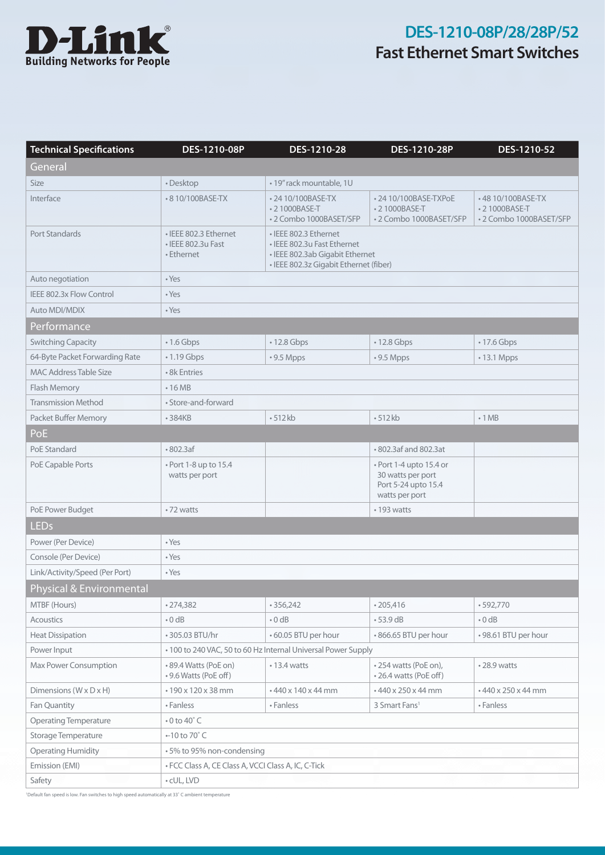

| <b>Technical Specifications</b>      | DES-1210-08P                                                  | DES-1210-28                                                                                                                       | DES-1210-28P                                                                          | DES-1210-52                                                  |
|--------------------------------------|---------------------------------------------------------------|-----------------------------------------------------------------------------------------------------------------------------------|---------------------------------------------------------------------------------------|--------------------------------------------------------------|
| General                              |                                                               |                                                                                                                                   |                                                                                       |                                                              |
| Size                                 | • Desktop                                                     | • 19" rack mountable, 1U                                                                                                          |                                                                                       |                                                              |
| Interface                            | • 8 10/100BASE-TX                                             | • 24 10/100BASE-TX<br>• 21000BASE-T<br>•2 Combo 1000BASET/SFP                                                                     | • 24 10/100BASE-TXPoE<br>• 21000BASE-T<br>•2 Combo 1000BASET/SFP                      | •48 10/100BASE-TX<br>• 21000BASE-T<br>•2 Combo 1000BASET/SFP |
| <b>Port Standards</b>                | · IEEE 802.3 Ethernet<br>• IEEE 802.3u Fast<br>• Ethernet     | • IEEE 802.3 Ethernet<br>• IEEE 802.3u Fast Ethernet<br>• IEEE 802.3ab Gigabit Ethernet<br>· IEEE 802.3z Gigabit Ethernet (fiber) |                                                                                       |                                                              |
| Auto negotiation                     | • Yes                                                         |                                                                                                                                   |                                                                                       |                                                              |
| IEEE 802.3x Flow Control             | • Yes                                                         |                                                                                                                                   |                                                                                       |                                                              |
| <b>Auto MDI/MDIX</b>                 | • Yes                                                         |                                                                                                                                   |                                                                                       |                                                              |
| Performance                          |                                                               |                                                                                                                                   |                                                                                       |                                                              |
| <b>Switching Capacity</b>            | $\cdot$ 1.6 Gbps                                              | • 12.8 Gbps                                                                                                                       | • 12.8 Gbps                                                                           | • 17.6 Gbps                                                  |
| 64-Byte Packet Forwarding Rate       | $\cdot$ 1.19 Gbps                                             | $\cdot$ 9.5 Mpps                                                                                                                  | $\cdot$ 9.5 Mpps                                                                      | • 13.1 Mpps                                                  |
| <b>MAC Address Table Size</b>        | • 8k Entries                                                  |                                                                                                                                   |                                                                                       |                                                              |
| Flash Memory                         | $\cdot$ 16 MB                                                 |                                                                                                                                   |                                                                                       |                                                              |
| <b>Transmission Method</b>           | • Store-and-forward                                           |                                                                                                                                   |                                                                                       |                                                              |
| Packet Buffer Memory                 | • 384KB                                                       | $-512kb$                                                                                                                          | $-512kb$                                                                              | $\cdot$ 1 MB                                                 |
| PoE                                  |                                                               |                                                                                                                                   |                                                                                       |                                                              |
| PoE Standard                         | •802.3af                                                      |                                                                                                                                   | • 802.3af and 802.3at                                                                 |                                                              |
| PoE Capable Ports                    | • Port 1-8 up to 15.4<br>watts per port                       |                                                                                                                                   | • Port 1-4 upto 15.4 or<br>30 watts per port<br>Port 5-24 upto 15.4<br>watts per port |                                                              |
| PoE Power Budget                     | •72 watts                                                     |                                                                                                                                   | • 193 watts                                                                           |                                                              |
| <b>LEDs</b>                          |                                                               |                                                                                                                                   |                                                                                       |                                                              |
| Power (Per Device)                   | • Yes                                                         |                                                                                                                                   |                                                                                       |                                                              |
| Console (Per Device)                 | $\cdot$ Yes                                                   |                                                                                                                                   |                                                                                       |                                                              |
| Link/Activity/Speed (Per Port)       | • Yes                                                         |                                                                                                                                   |                                                                                       |                                                              |
| Physical & Environmental             |                                                               |                                                                                                                                   |                                                                                       |                                                              |
| MTBF (Hours)                         | •274,382                                                      | •356,242                                                                                                                          | $*205,416$                                                                            | $-592,770$                                                   |
| <b>Acoustics</b>                     | $\cdot$ 0 dB                                                  | $\cdot$ 0 dB                                                                                                                      | $-53.9$ dB                                                                            | $\cdot$ 0 dB                                                 |
| <b>Heat Dissipation</b>              | • 305.03 BTU/hr                                               | • 60.05 BTU per hour                                                                                                              | .866.65 BTU per hour                                                                  | • 98.61 BTU per hour                                         |
| Power Input                          | • 100 to 240 VAC, 50 to 60 Hz Internal Universal Power Supply |                                                                                                                                   |                                                                                       |                                                              |
| Max Power Consumption                | • 89.4 Watts (PoE on)<br>• 9.6 Watts (PoE off)                | $\cdot$ 13.4 watts                                                                                                                | • 254 watts (PoE on),<br>• 26.4 watts (PoE off)                                       | •28.9 watts                                                  |
| Dimensions ( $W \times D \times H$ ) | • 190 x 120 x 38 mm                                           | • 440 x 140 x 44 mm                                                                                                               | • 440 x 250 x 44 mm                                                                   | • 440 x 250 x 44 mm                                          |
| Fan Quantity                         | • Fanless                                                     | • Fanless                                                                                                                         | 3 Smart Fans <sup>1</sup>                                                             | • Fanless                                                    |
| <b>Operating Temperature</b>         | $\cdot$ 0 to 40 $\degree$ C                                   |                                                                                                                                   |                                                                                       |                                                              |
| Storage Temperature                  | $-10$ to $70^{\circ}$ C                                       |                                                                                                                                   |                                                                                       |                                                              |
| <b>Operating Humidity</b>            | • 5% to 95% non-condensing                                    |                                                                                                                                   |                                                                                       |                                                              |
| Emission (EMI)                       | · FCC Class A, CE Class A, VCCI Class A, IC, C-Tick           |                                                                                                                                   |                                                                                       |                                                              |
| Safety                               | • cUL, LVD                                                    |                                                                                                                                   |                                                                                       |                                                              |

1 Default fan speed is low. Fan switches to high speed automatically at 33˚ C ambient temperature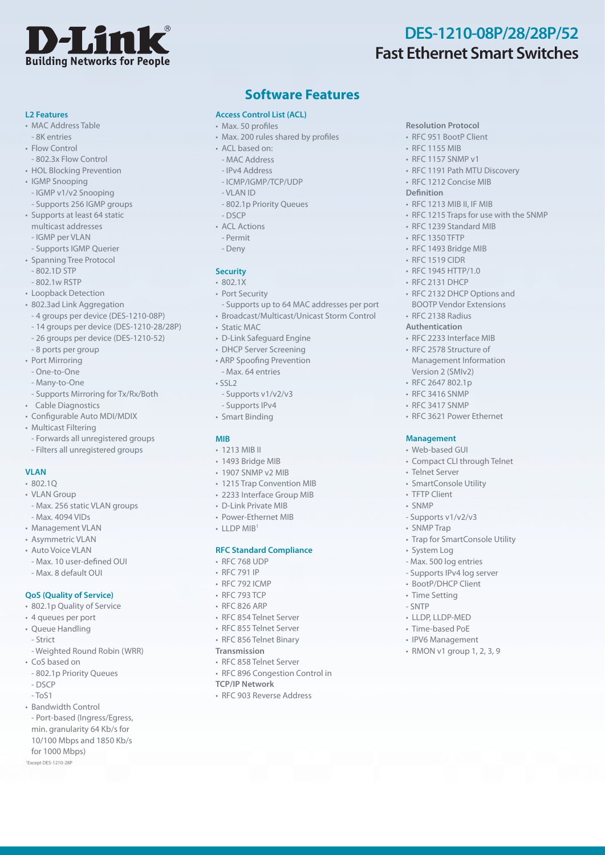

**Resolution Protocol** • RFC 951 BootP Client • RFC 1155 MIB • RFC 1157 SNMP v1

**Definition**

• RFC 1191 Path MTU Discovery • RFC 1212 Concise MIB

• RFC 1215 Traps for use with the SNMP

• RFC 1213 MIB II, IF MIB

• RFC 1239 Standard MIB • RFC 1350 TFTP • RFC 1493 Bridge MIB • RFC 1519 CIDR • RFC 1945 HTTP/1.0 • RFC 2131 DHCP

• RFC 2132 DHCP Options and BOOTP Vendor Extensions

• RFC 3621 Power Ethernet

• Compact CLI through Telnet

• Trap for SmartConsole Utility

**Management** • Web-based GUI

• Telnet Server • SmartConsole Utility • TFTP Client • SNMP

- Supports v1/v2/v3 • SNMP Trap

• LLDP, LLDP-MED • Time-based PoE • IPV6 Management  $\cdot$  RMON v1 group 1, 2, 3, 9

• System Log - Max. 500 log entries - Supports IPv4 log server • BootP/DHCP Client • Time Setting - SNTP

• RFC 2138 Radius **Authentication** • RFC 2233 Interface MIB • RFC 2578 Structure of Management Information Version 2 (SMIv2)  $\cdot$  RFC 2647 802.1p • RFC 3416 SNMP • RFC 3417 SNMP

#### **L2 Features**

- MAC Address Table
- 8K entries  $\cdot$  Flow Control
- 802.3x Flow Control
- HOL Blocking Prevention
- IGMP Snooping
- IGMP v1/v2 Snooping
- Supports 256 IGMP groups
- Supports at least 64 static multicast addresses
- IGMP per VLAN
- Supports IGMP Querier
- Spanning Tree Protocol
- 802.1D STP
- 802.1w RSTP
- Loopback Detection
- 802.3ad Link Aggregation
- 4 groups per device (DES-1210-08P)
- 14 groups per device (DES-1210-28/28P)
- 26 groups per device (DES-1210-52)
- 8 ports per group
- Port Mirroring
- One-to-One
- Many-to-One
- Supports Mirroring for Tx/Rx/Both
- Cable Diagnostics
- Configurable Auto MDI/MDIX
- Multicast Filtering
	- Forwards all unregistered groups
- Filters all unregistered groups

## **VLAN**

- $-80210$
- VLAN Group
- Max. 256 static VLAN groups - Max. 4094 VIDs
- Management VLAN
- Asymmetric VLAN
- Auto Voice VLAN
- Max. 10 user-defined OUI - Max. 8 default OUI

#### **QoS (Quality of Service)**

- 802.1p Quality of Service
- 4 queues per port
- Queue Handling - Strict
- Weighted Round Robin (WRR)
- CoS based on
- 802.1p Priority Queues
- DSCP
- $-T<sub>0</sub>S1$
- Bandwidth Control
- Port-based (Ingress/Egress, min. granularity 64 Kb/s for 10/100 Mbps and 1850 Kb/s for 1000 Mbps) 1 Except DES-1210-28P

## **Software Features**

#### **Access Control List (ACL)**

- Max. 50 profiles
- Max. 200 rules shared by profiles
- ACL based on:
- MAC Address
- IPv4 Address
- ICMP/IGMP/TCP/UDP
- VLAN ID
- 802.1p Priority Queues
- DSCP
- ACL Actions
- Permit
- Deny

#### **Security**

- $802.1X$
- Port Security
- Supports up to 64 MAC addresses per port
- Broadcast/Multicast/Unicast Storm Control
- Static MAC
- D-Link Safeguard Engine
- DHCP Server Screening
- ARP Spoofing Prevention - Max. 64 entries
- SSL2
	- Supports v1/v2/v3
- Supports IPv4
- Smart Binding

#### **MIB**

- 1213 MIB II
- 1493 Bridge MIB
- 1907 SNMP v2 MIB
- 1215 Trap Convention MIB
- 2233 Interface Group MIB
- D-Link Private MIB
- Power-Ethernet MIB
- $\cdot$  LLDP MIB<sup>1</sup>

#### **RFC Standard Compliance**

- RFC 768 UDP
- RFC 791 IP
- RFC 792 ICMP
- RFC 793 TCP
- RFC 826 ARP
- RFC 854 Telnet Server
- RFC 855 Telnet Server
- RFC 856 Telnet Binary
- **Transmission**
- RFC 858 Telnet Server
- RFC 896 Congestion Control in
- **TCP/IP Network**
- RFC 903 Reverse Address